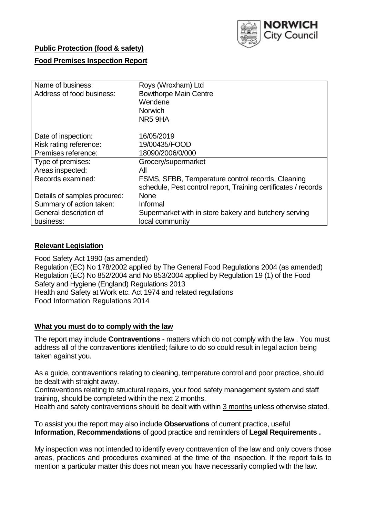

## **Public Protection (food & safety)**

## **Food Premises Inspection Report**

| Name of business:<br>Address of food business: | Roys (Wroxham) Ltd<br><b>Bowthorpe Main Centre</b><br>Wendene<br><b>Norwich</b><br>NR5 9HA |
|------------------------------------------------|--------------------------------------------------------------------------------------------|
| Date of inspection:                            | 16/05/2019                                                                                 |
| Risk rating reference:                         | 19/00435/FOOD                                                                              |
| Premises reference:                            | 18090/2006/0/000                                                                           |
| Type of premises:                              | Grocery/supermarket                                                                        |
| Areas inspected:                               | All                                                                                        |
| Records examined:                              | FSMS, SFBB, Temperature control records, Cleaning                                          |
|                                                | schedule, Pest control report, Training certificates / records                             |
| Details of samples procured:                   | <b>None</b>                                                                                |
| Summary of action taken:                       | Informal                                                                                   |
| General description of                         | Supermarket with in store bakery and butchery serving                                      |
| business:                                      | local community                                                                            |

### **Relevant Legislation**

Food Safety Act 1990 (as amended) Regulation (EC) No 178/2002 applied by The General Food Regulations 2004 (as amended) Regulation (EC) No 852/2004 and No 853/2004 applied by Regulation 19 (1) of the Food Safety and Hygiene (England) Regulations 2013 Health and Safety at Work etc. Act 1974 and related regulations Food Information Regulations 2014

### **What you must do to comply with the law**

The report may include **Contraventions** - matters which do not comply with the law . You must address all of the contraventions identified; failure to do so could result in legal action being taken against you.

As a guide, contraventions relating to cleaning, temperature control and poor practice, should be dealt with straight away.

Contraventions relating to structural repairs, your food safety management system and staff training, should be completed within the next 2 months.

Health and safety contraventions should be dealt with within 3 months unless otherwise stated.

To assist you the report may also include **Observations** of current practice, useful **Information**, **Recommendations** of good practice and reminders of **Legal Requirements .**

My inspection was not intended to identify every contravention of the law and only covers those areas, practices and procedures examined at the time of the inspection. If the report fails to mention a particular matter this does not mean you have necessarily complied with the law.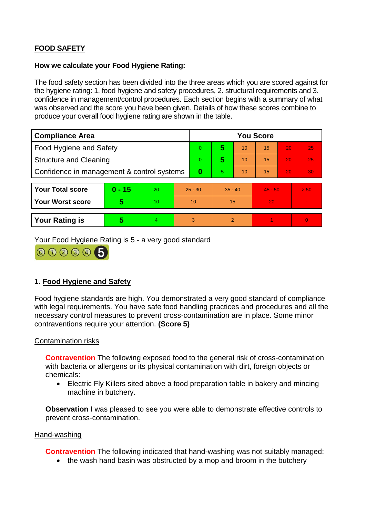# **FOOD SAFETY**

#### **How we calculate your Food Hygiene Rating:**

The food safety section has been divided into the three areas which you are scored against for the hygiene rating: 1. food hygiene and safety procedures, 2. structural requirements and 3. confidence in management/control procedures. Each section begins with a summary of what was observed and the score you have been given. Details of how these scores combine to produce your overall food hygiene rating are shown in the table.

| <b>Compliance Area</b>                     |          |    |                | <b>You Score</b> |           |    |           |    |                |  |  |
|--------------------------------------------|----------|----|----------------|------------------|-----------|----|-----------|----|----------------|--|--|
| Food Hygiene and Safety                    |          |    | $\Omega$       | 5                | 10        | 15 | 20        | 25 |                |  |  |
| <b>Structure and Cleaning</b>              |          |    | $\overline{0}$ | 5                | 10        | 15 | 20        | 25 |                |  |  |
| Confidence in management & control systems |          |    | 0              | 5                | 10        | 15 | 20        | 30 |                |  |  |
|                                            |          |    |                |                  |           |    |           |    |                |  |  |
| <b>Your Total score</b>                    | $0 - 15$ | 20 | $25 - 30$      |                  | $35 - 40$ |    | $45 - 50$ |    | > 50           |  |  |
| Your Worst score                           | 5        | 10 | 10             |                  | 15        |    | 20        |    |                |  |  |
|                                            |          |    |                |                  |           |    |           |    |                |  |  |
| <b>Your Rating is</b>                      | 5        | 4. | 3              |                  | 2         |    |           |    | $\overline{0}$ |  |  |

Your Food Hygiene Rating is 5 - a very good standard



## **1. Food Hygiene and Safety**

Food hygiene standards are high. You demonstrated a very good standard of compliance with legal requirements. You have safe food handling practices and procedures and all the necessary control measures to prevent cross-contamination are in place. Some minor contraventions require your attention. **(Score 5)**

### Contamination risks

**Contravention** The following exposed food to the general risk of cross-contamination with bacteria or allergens or its physical contamination with dirt, foreign objects or chemicals:

 Electric Fly Killers sited above a food preparation table in bakery and mincing machine in butchery.

**Observation** I was pleased to see you were able to demonstrate effective controls to prevent cross-contamination.

#### Hand-washing

**Contravention** The following indicated that hand-washing was not suitably managed:

• the wash hand basin was obstructed by a mop and broom in the butchery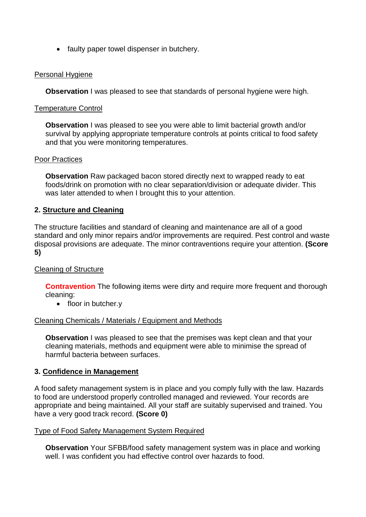• faulty paper towel dispenser in butchery.

## Personal Hygiene

**Observation** I was pleased to see that standards of personal hygiene were high.

### Temperature Control

**Observation** I was pleased to see you were able to limit bacterial growth and/or survival by applying appropriate temperature controls at points critical to food safety and that you were monitoring temperatures.

### Poor Practices

**Observation** Raw packaged bacon stored directly next to wrapped ready to eat foods/drink on promotion with no clear separation/division or adequate divider. This was later attended to when I brought this to your attention.

## **2. Structure and Cleaning**

The structure facilities and standard of cleaning and maintenance are all of a good standard and only minor repairs and/or improvements are required. Pest control and waste disposal provisions are adequate. The minor contraventions require your attention. **(Score 5)**

### Cleaning of Structure

**Contravention** The following items were dirty and require more frequent and thorough cleaning:

• floor in butcher.y

### Cleaning Chemicals / Materials / Equipment and Methods

**Observation** I was pleased to see that the premises was kept clean and that your cleaning materials, methods and equipment were able to minimise the spread of harmful bacteria between surfaces.

### **3. Confidence in Management**

A food safety management system is in place and you comply fully with the law. Hazards to food are understood properly controlled managed and reviewed. Your records are appropriate and being maintained. All your staff are suitably supervised and trained. You have a very good track record. **(Score 0)**

### Type of Food Safety Management System Required

**Observation** Your SFBB/food safety management system was in place and working well. I was confident you had effective control over hazards to food.